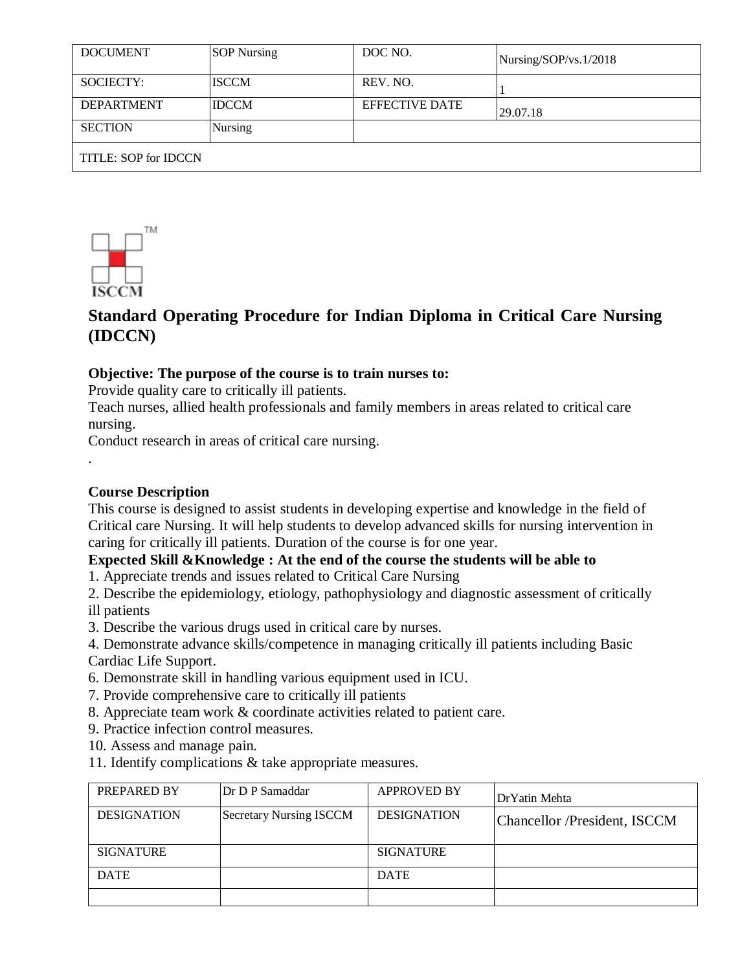| <b>DOCUMENT</b>      | <b>SOP</b> Nursing | DOC NO.               | Nursing/SOP/vs.1/2018 |  |
|----------------------|--------------------|-----------------------|-----------------------|--|
| SOCIECTY:            | <b>ISCCM</b>       | REV. NO.              |                       |  |
| <b>DEPARTMENT</b>    | <b>IDCCM</b>       | <b>EFFECTIVE DATE</b> | 29.07.18              |  |
| <b>SECTION</b>       | <b>Nursing</b>     |                       |                       |  |
| TITLE: SOP for IDCCN |                    |                       |                       |  |



# **Standard Operating Procedure for Indian Diploma in Critical Care Nursing (IDCCN)**

### **Objective: The purpose of the course is to train nurses to:**

Provide quality care to critically ill patients.

Teach nurses, allied health professionals and family members in areas related to critical care nursing.

Conduct research in areas of critical care nursing.

### **Course Description**

.

This course is designed to assist students in developing expertise and knowledge in the field of Critical care Nursing. It will help students to develop advanced skills for nursing intervention in caring for critically ill patients. Duration of the course is for one year.

### **Expected Skill &Knowledge : At the end of the course the students will be able to**

1. Appreciate trends and issues related to Critical Care Nursing

2. Describe the epidemiology, etiology, pathophysiology and diagnostic assessment of critically ill patients

3. Describe the various drugs used in critical care by nurses.

4. Demonstrate advance skills/competence in managing critically ill patients including Basic Cardiac Life Support.

- 6. Demonstrate skill in handling various equipment used in ICU.
- 7. Provide comprehensive care to critically ill patients
- 8. Appreciate team work & coordinate activities related to patient care.
- 9. Practice infection control measures.
- 10. Assess and manage pain.
- 11. Identify complications & take appropriate measures.

| PREPARED BY        | Dr D P Samaddar                | <b>APPROVED BY</b> | DrYatin Mehta                |
|--------------------|--------------------------------|--------------------|------------------------------|
| <b>DESIGNATION</b> | <b>Secretary Nursing ISCCM</b> | <b>DESIGNATION</b> | Chancellor /President, ISCCM |
| <b>SIGNATURE</b>   |                                | <b>SIGNATURE</b>   |                              |
| <b>DATE</b>        |                                | <b>DATE</b>        |                              |
|                    |                                |                    |                              |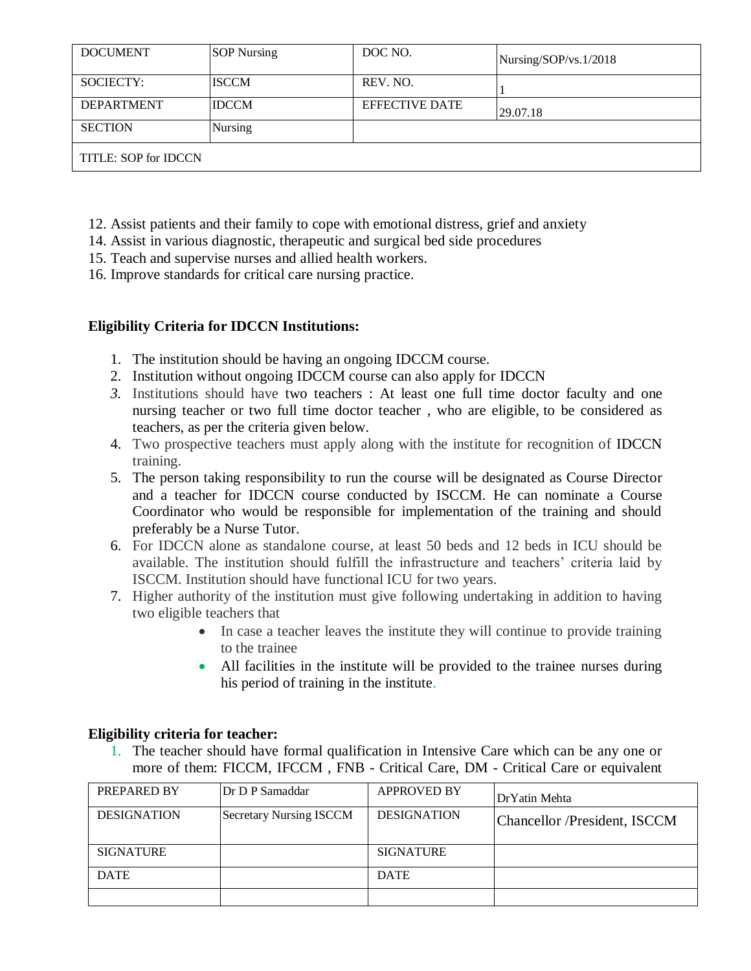| <b>DOCUMENT</b>      | <b>SOP Nursing</b> | DOC NO.               | Nursing/SOP/vs.1/2018 |  |
|----------------------|--------------------|-----------------------|-----------------------|--|
| SOCIECTY:            | <b>ISCCM</b>       | REV. NO.              |                       |  |
| <b>DEPARTMENT</b>    | <b>IDCCM</b>       | <b>EFFECTIVE DATE</b> | 29.07.18              |  |
| <b>SECTION</b>       | Nursing            |                       |                       |  |
| TITLE: SOP for IDCCN |                    |                       |                       |  |

- 12. Assist patients and their family to cope with emotional distress, grief and anxiety
- 14. Assist in various diagnostic, therapeutic and surgical bed side procedures
- 15. Teach and supervise nurses and allied health workers.
- 16. Improve standards for critical care nursing practice.

### **Eligibility Criteria for IDCCN Institutions:**

- 1. The institution should be having an ongoing IDCCM course.
- 2. Institution without ongoing IDCCM course can also apply for IDCCN
- *3.* Institutions should have two teachers : At least one full time doctor faculty and one nursing teacher or two full time doctor teacher , who are eligible, to be considered as teachers, as per the criteria given below.
- 4. Two prospective teachers must apply along with the institute for recognition of IDCCN training.
- 5. The person taking responsibility to run the course will be designated as Course Director and a teacher for IDCCN course conducted by ISCCM. He can nominate a Course Coordinator who would be responsible for implementation of the training and should preferably be a Nurse Tutor.
- 6. For IDCCN alone as standalone course, at least 50 beds and 12 beds in ICU should be available. The institution should fulfill the infrastructure and teachers' criteria laid by ISCCM. Institution should have functional ICU for two years.
- 7. Higher authority of the institution must give following undertaking in addition to having two eligible teachers that
	- In case a teacher leaves the institute they will continue to provide training to the trainee
	- All facilities in the institute will be provided to the trainee nurses during his period of training in the institute.

### **Eligibility criteria for teacher:**

1. The teacher should have formal qualification in Intensive Care which can be any one or more of them: FICCM, IFCCM , FNB - Critical Care, DM - Critical Care or equivalent

| PREPARED BY        | Dr D P Samaddar         | <b>APPROVED BY</b> | DrYatin Mehta                |
|--------------------|-------------------------|--------------------|------------------------------|
| <b>DESIGNATION</b> | Secretary Nursing ISCCM | <b>DESIGNATION</b> | Chancellor /President, ISCCM |
| <b>SIGNATURE</b>   |                         | <b>SIGNATURE</b>   |                              |
| <b>DATE</b>        |                         | <b>DATE</b>        |                              |
|                    |                         |                    |                              |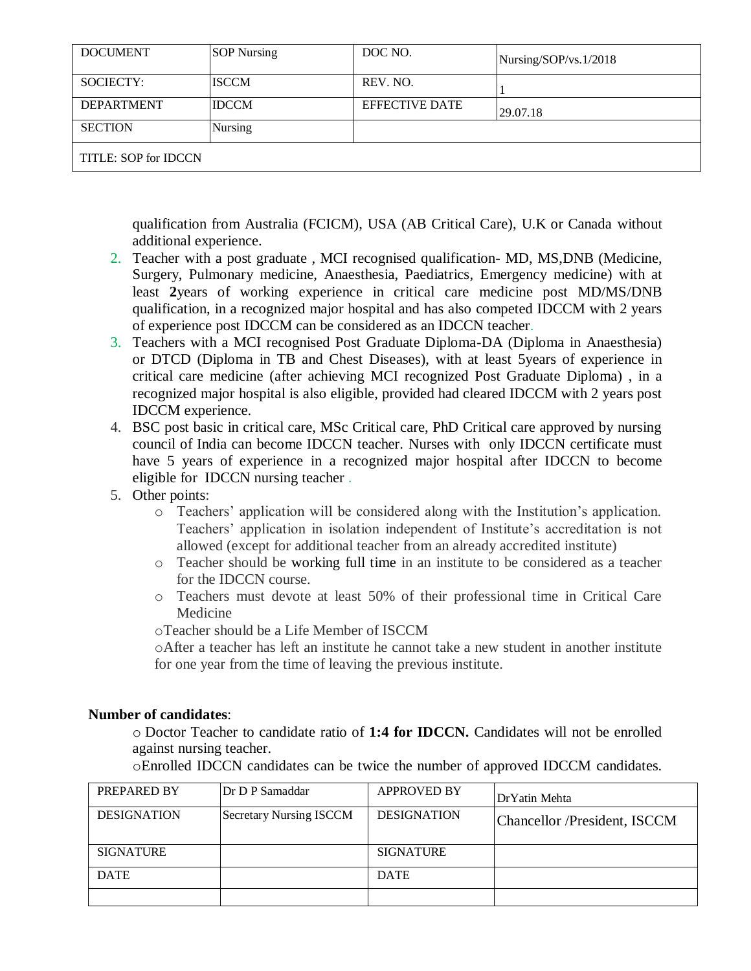| <b>DOCUMENT</b>      | <b>SOP</b> Nursing | DOC NO.               | Nursing/SOP/vs.1/2018 |  |
|----------------------|--------------------|-----------------------|-----------------------|--|
| SOCIECTY:            | <b>ISCCM</b>       | REV. NO.              |                       |  |
| <b>DEPARTMENT</b>    | <b>IDCCM</b>       | <b>EFFECTIVE DATE</b> | 29.07.18              |  |
| <b>SECTION</b>       | Nursing            |                       |                       |  |
| TITLE: SOP for IDCCN |                    |                       |                       |  |

qualification from Australia (FCICM), USA (AB Critical Care), U.K or Canada without additional experience.

- 2. Teacher with a post graduate , MCI recognised qualification- MD, MS,DNB (Medicine, Surgery, Pulmonary medicine, Anaesthesia, Paediatrics, Emergency medicine) with at least **2**years of working experience in critical care medicine post MD/MS/DNB qualification, in a recognized major hospital and has also competed IDCCM with 2 years of experience post IDCCM can be considered as an IDCCN teacher.
- 3. Teachers with a MCI recognised Post Graduate Diploma-DA (Diploma in Anaesthesia) or DTCD (Diploma in TB and Chest Diseases), with at least 5years of experience in critical care medicine (after achieving MCI recognized Post Graduate Diploma) , in a recognized major hospital is also eligible, provided had cleared IDCCM with 2 years post IDCCM experience.
- 4. BSC post basic in critical care, MSc Critical care, PhD Critical care approved by nursing council of India can become IDCCN teacher. Nurses with only IDCCN certificate must have 5 years of experience in a recognized major hospital after IDCCN to become eligible for IDCCN nursing teacher .
- 5. Other points:
	- o Teachers' application will be considered along with the Institution's application. Teachers' application in isolation independent of Institute's accreditation is not allowed (except for additional teacher from an already accredited institute)
	- o Teacher should be working full time in an institute to be considered as a teacher for the IDCCN course.
	- o Teachers must devote at least 50% of their professional time in Critical Care Medicine
	- oTeacher should be a Life Member of ISCCM

oAfter a teacher has left an institute he cannot take a new student in another institute for one year from the time of leaving the previous institute.

#### **Number of candidates**:

o Doctor Teacher to candidate ratio of **1:4 for IDCCN.** Candidates will not be enrolled against nursing teacher.

oEnrolled IDCCN candidates can be twice the number of approved IDCCM candidates.

| PREPARED BY        | Dr D P Samaddar                | <b>APPROVED BY</b> | Dr Yatin Mehta               |
|--------------------|--------------------------------|--------------------|------------------------------|
| <b>DESIGNATION</b> | <b>Secretary Nursing ISCCM</b> | <b>DESIGNATION</b> | Chancellor /President, ISCCM |
| <b>SIGNATURE</b>   |                                | <b>SIGNATURE</b>   |                              |
| <b>DATE</b>        |                                | <b>DATE</b>        |                              |
|                    |                                |                    |                              |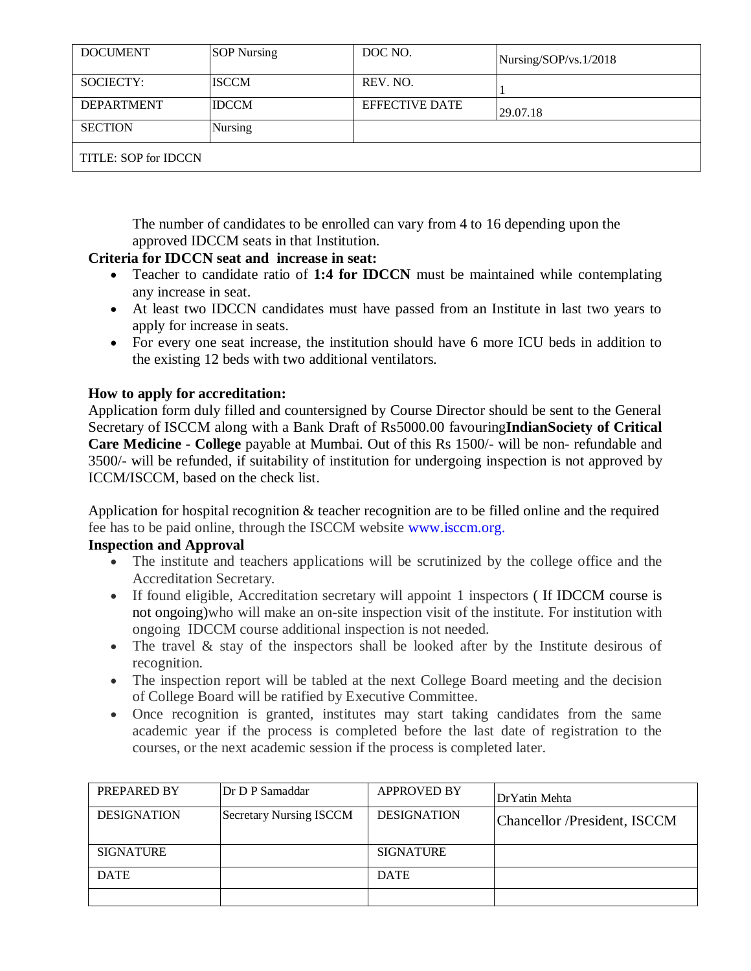| <b>DOCUMENT</b>      | <b>SOP</b> Nursing | DOC NO.               | Nursing/SOP/vs.1/2018 |  |
|----------------------|--------------------|-----------------------|-----------------------|--|
| SOCIECTY:            | <b>ISCCM</b>       | REV. NO.              |                       |  |
| <b>DEPARTMENT</b>    | <b>IDCCM</b>       | <b>EFFECTIVE DATE</b> | 29.07.18              |  |
| <b>SECTION</b>       | Nursing            |                       |                       |  |
| TITLE: SOP for IDCCN |                    |                       |                       |  |

The number of candidates to be enrolled can vary from 4 to 16 depending upon the approved IDCCM seats in that Institution.

### **Criteria for IDCCN seat and increase in seat:**

- Teacher to candidate ratio of **1:4 for IDCCN** must be maintained while contemplating any increase in seat.
- At least two IDCCN candidates must have passed from an Institute in last two years to apply for increase in seats.
- For every one seat increase, the institution should have 6 more ICU beds in addition to the existing 12 beds with two additional ventilators.

### **How to apply for accreditation:**

Application form duly filled and countersigned by Course Director should be sent to the General Secretary of ISCCM along with a Bank Draft of Rs5000.00 favouring**IndianSociety of Critical Care Medicine - College** payable at Mumbai. Out of this Rs 1500/- will be non- refundable and 3500/- will be refunded, if suitability of institution for undergoing inspection is not approved by ICCM/ISCCM, based on the check list.

Application for hospital recognition & teacher recognition are to be filled online and the required fee has to be paid online, through the ISCCM website [www.isccm.org.](http://www.isccm.org/)

### **Inspection and Approval**

- The institute and teachers applications will be scrutinized by the college office and the Accreditation Secretary.
- If found eligible, Accreditation secretary will appoint 1 inspectors ( If IDCCM course is not ongoing)who will make an on-site inspection visit of the institute. For institution with ongoing IDCCM course additional inspection is not needed.
- The travel & stay of the inspectors shall be looked after by the Institute desirous of recognition.
- The inspection report will be tabled at the next College Board meeting and the decision of College Board will be ratified by Executive Committee.
- Once recognition is granted, institutes may start taking candidates from the same academic year if the process is completed before the last date of registration to the courses, or the next academic session if the process is completed later.

| PREPARED BY        | Dr D P Samaddar                | <b>APPROVED BY</b> | DrYatin Mehta                |
|--------------------|--------------------------------|--------------------|------------------------------|
| <b>DESIGNATION</b> | <b>Secretary Nursing ISCCM</b> | <b>DESIGNATION</b> | Chancellor /President, ISCCM |
| <b>SIGNATURE</b>   |                                | <b>SIGNATURE</b>   |                              |
| <b>DATE</b>        |                                | <b>DATE</b>        |                              |
|                    |                                |                    |                              |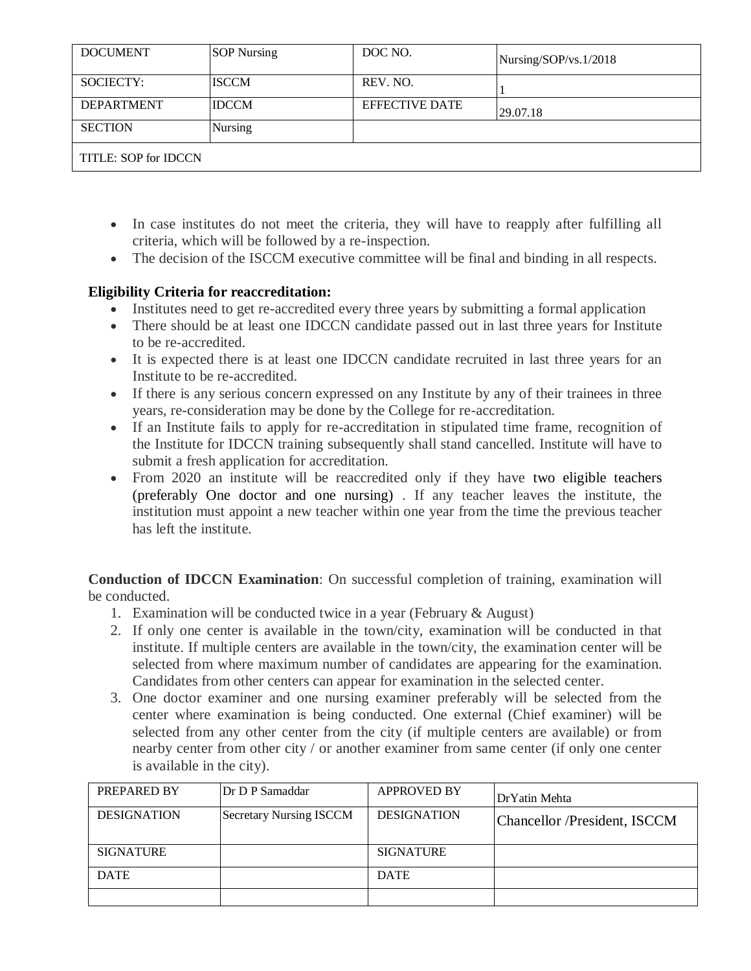| <b>DOCUMENT</b>      | <b>SOP</b> Nursing | DOC NO.               | Nursing/SOP/vs.1/2018 |  |
|----------------------|--------------------|-----------------------|-----------------------|--|
| SOCIECTY:            | <b>ISCCM</b>       | REV. NO.              |                       |  |
| <b>DEPARTMENT</b>    | <b>IDCCM</b>       | <b>EFFECTIVE DATE</b> | 29.07.18              |  |
| <b>SECTION</b>       | <b>Nursing</b>     |                       |                       |  |
| TITLE: SOP for IDCCN |                    |                       |                       |  |

- In case institutes do not meet the criteria, they will have to reapply after fulfilling all criteria, which will be followed by a re-inspection.
- The decision of the ISCCM executive committee will be final and binding in all respects.

### **Eligibility Criteria for reaccreditation:**

- Institutes need to get re-accredited every three years by submitting a formal application
- There should be at least one IDCCN candidate passed out in last three years for Institute to be re-accredited.
- It is expected there is at least one IDCCN candidate recruited in last three years for an Institute to be re-accredited.
- If there is any serious concern expressed on any Institute by any of their trainees in three years, re-consideration may be done by the College for re-accreditation.
- If an Institute fails to apply for re-accreditation in stipulated time frame, recognition of the Institute for IDCCN training subsequently shall stand cancelled. Institute will have to submit a fresh application for accreditation.
- From 2020 an institute will be reaccredited only if they have two eligible teachers (preferably One doctor and one nursing) . If any teacher leaves the institute, the institution must appoint a new teacher within one year from the time the previous teacher has left the institute.

**Conduction of IDCCN Examination**: On successful completion of training, examination will be conducted.

- 1. Examination will be conducted twice in a year (February & August)
- 2. If only one center is available in the town/city, examination will be conducted in that institute. If multiple centers are available in the town/city, the examination center will be selected from where maximum number of candidates are appearing for the examination. Candidates from other centers can appear for examination in the selected center.
- 3. One doctor examiner and one nursing examiner preferably will be selected from the center where examination is being conducted. One external (Chief examiner) will be selected from any other center from the city (if multiple centers are available) or from nearby center from other city / or another examiner from same center (if only one center is available in the city).

| PREPARED BY        | Dr D P Samaddar                | <b>APPROVED BY</b> | Dr Yatin Mehta               |
|--------------------|--------------------------------|--------------------|------------------------------|
| <b>DESIGNATION</b> | <b>Secretary Nursing ISCCM</b> | <b>DESIGNATION</b> | Chancellor /President, ISCCM |
| <b>SIGNATURE</b>   |                                | <b>SIGNATURE</b>   |                              |
| <b>DATE</b>        |                                | <b>DATE</b>        |                              |
|                    |                                |                    |                              |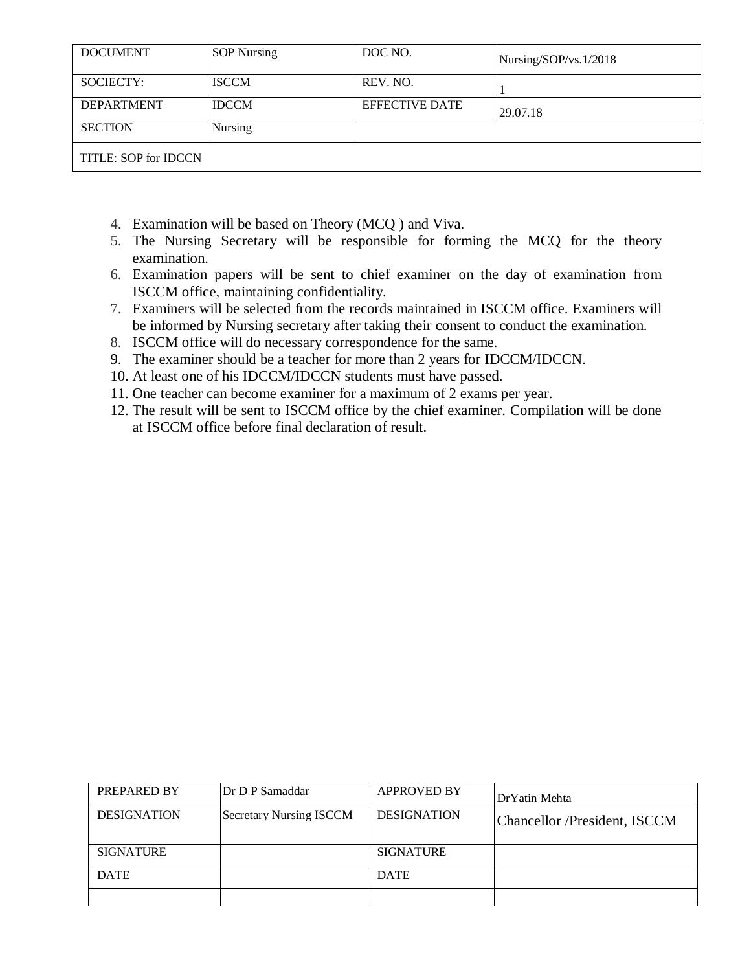| <b>DOCUMENT</b>      | <b>SOP</b> Nursing | DOC NO.               | Nursing/SOP/vs.1/2018 |  |
|----------------------|--------------------|-----------------------|-----------------------|--|
| SOCIECTY:            | <b>ISCCM</b>       | REV. NO.              |                       |  |
| <b>DEPARTMENT</b>    | <b>IDCCM</b>       | <b>EFFECTIVE DATE</b> | 29.07.18              |  |
| <b>SECTION</b>       | Nursing            |                       |                       |  |
| TITLE: SOP for IDCCN |                    |                       |                       |  |

- 4. Examination will be based on Theory (MCQ ) and Viva.
- 5. The Nursing Secretary will be responsible for forming the MCQ for the theory examination.
- 6. Examination papers will be sent to chief examiner on the day of examination from ISCCM office, maintaining confidentiality.
- 7. Examiners will be selected from the records maintained in ISCCM office. Examiners will be informed by Nursing secretary after taking their consent to conduct the examination.
- 8. ISCCM office will do necessary correspondence for the same.
- 9. The examiner should be a teacher for more than 2 years for IDCCM/IDCCN.
- 10. At least one of his IDCCM/IDCCN students must have passed.
- 11. One teacher can become examiner for a maximum of 2 exams per year.
- 12. The result will be sent to ISCCM office by the chief examiner. Compilation will be done at ISCCM office before final declaration of result.

| PREPARED BY        | Dr D P Samaddar                | <b>APPROVED BY</b> | DrYatin Mehta                |
|--------------------|--------------------------------|--------------------|------------------------------|
| <b>DESIGNATION</b> | <b>Secretary Nursing ISCCM</b> | <b>DESIGNATION</b> | Chancellor /President, ISCCM |
| <b>SIGNATURE</b>   |                                | <b>SIGNATURE</b>   |                              |
| <b>DATE</b>        |                                | <b>DATE</b>        |                              |
|                    |                                |                    |                              |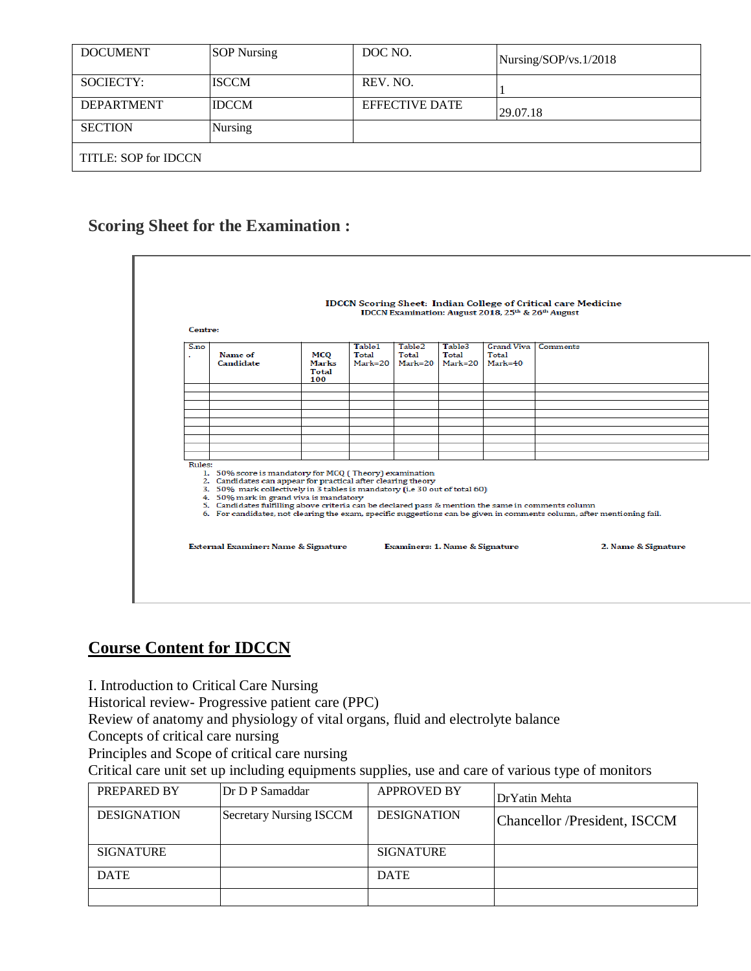| <b>DOCUMENT</b>      | <b>SOP Nursing</b> | DOC NO.               | Nursing/SOP/vs.1/2018 |  |
|----------------------|--------------------|-----------------------|-----------------------|--|
| SOCIECTY:            | <b>ISCCM</b>       | REV. NO.              |                       |  |
| <b>DEPARTMENT</b>    | <b>IDCCM</b>       | <b>EFFECTIVE DATE</b> | 29.07.18              |  |
| <b>SECTION</b>       | <b>Nursing</b>     |                       |                       |  |
| TITLE: SOP for IDCCN |                    |                       |                       |  |

# **Scoring Sheet for the Examination :**

|                    |                                                                                                                                                                                                                                                                                                                                                      |              |                            |                                        |                                | IDCCN Examination: August 2018, 25th & 26th August | <b>IDCCN Scoring Sheet: Indian College of Critical care Medicine</b>                                                   |
|--------------------|------------------------------------------------------------------------------------------------------------------------------------------------------------------------------------------------------------------------------------------------------------------------------------------------------------------------------------------------------|--------------|----------------------------|----------------------------------------|--------------------------------|----------------------------------------------------|------------------------------------------------------------------------------------------------------------------------|
| Centre:<br>$S3$ no | Name of<br>Candidate                                                                                                                                                                                                                                                                                                                                 | мсо<br>Marks | Table1<br>Total<br>Mark=20 | Table <sub>2</sub><br>Total<br>Mark=20 | Table3<br>Total<br>Mark=20     | <b>Grand Viva</b><br>Total<br>Mark=40              | <b>Comments</b>                                                                                                        |
|                    |                                                                                                                                                                                                                                                                                                                                                      | Total<br>100 |                            |                                        |                                |                                                    |                                                                                                                        |
|                    |                                                                                                                                                                                                                                                                                                                                                      |              |                            |                                        |                                |                                                    |                                                                                                                        |
|                    |                                                                                                                                                                                                                                                                                                                                                      |              |                            |                                        |                                |                                                    |                                                                                                                        |
|                    |                                                                                                                                                                                                                                                                                                                                                      |              |                            |                                        |                                |                                                    |                                                                                                                        |
|                    |                                                                                                                                                                                                                                                                                                                                                      |              |                            |                                        |                                |                                                    |                                                                                                                        |
| Rules:             | 1. 50% score is mandatory for MCQ (Theory) examination<br>2. Candidates can appear for practical after clearing theory<br>3. 50% mark collectively in 3 tables is mandatory (i.e 30 out of total 60)<br>4. 50% mark in grand viva is mandatory<br>5. Candidates fulfilling above criteria can be declared pass & mention the same in comments column |              |                            |                                        |                                |                                                    | 6. For candidates, not clearing the exam, specific suggestions can be given in comments column, after mentioning fail. |
|                    | External Examiner: Name & Signature                                                                                                                                                                                                                                                                                                                  |              |                            |                                        | Examiners: 1. Name & Signature |                                                    | 2. Name & Signature                                                                                                    |

# **Course Content for IDCCN**

I. Introduction to Critical Care Nursing

Historical review- Progressive patient care (PPC)

Review of anatomy and physiology of vital organs, fluid and electrolyte balance

Concepts of critical care nursing

Principles and Scope of critical care nursing

Critical care unit set up including equipments supplies, use and care of various type of monitors

| PREPARED BY        | Dr D P Samaddar                | <b>APPROVED BY</b> | Dr Yatin Mehta               |
|--------------------|--------------------------------|--------------------|------------------------------|
| <b>DESIGNATION</b> | <b>Secretary Nursing ISCCM</b> | <b>DESIGNATION</b> | Chancellor /President, ISCCM |
| <b>SIGNATURE</b>   |                                | <b>SIGNATURE</b>   |                              |
| <b>DATE</b>        |                                | <b>DATE</b>        |                              |
|                    |                                |                    |                              |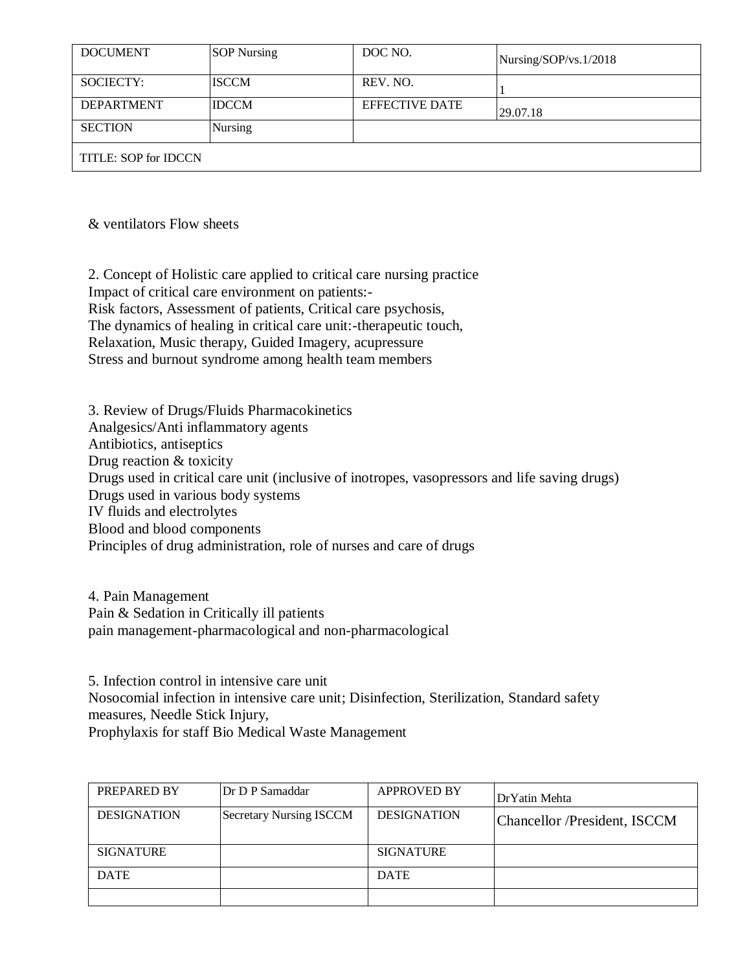| <b>DOCUMENT</b>      | <b>SOP Nursing</b> | DOC NO.               | Nursing/SOP/vs.1/2018 |  |
|----------------------|--------------------|-----------------------|-----------------------|--|
| SOCIECTY:            | <b>ISCCM</b>       | REV. NO.              |                       |  |
| <b>DEPARTMENT</b>    | <b>IDCCM</b>       | <b>EFFECTIVE DATE</b> | 29.07.18              |  |
| <b>SECTION</b>       | Nursing            |                       |                       |  |
| TITLE: SOP for IDCCN |                    |                       |                       |  |

& ventilators Flow sheets

2. Concept of Holistic care applied to critical care nursing practice Impact of critical care environment on patients:- Risk factors, Assessment of patients, Critical care psychosis, The dynamics of healing in critical care unit:-therapeutic touch, Relaxation, Music therapy, Guided Imagery, acupressure Stress and burnout syndrome among health team members

3. Review of Drugs/Fluids Pharmacokinetics Analgesics/Anti inflammatory agents Antibiotics, antiseptics Drug reaction & toxicity Drugs used in critical care unit (inclusive of inotropes, vasopressors and life saving drugs) Drugs used in various body systems IV fluids and electrolytes Blood and blood components Principles of drug administration, role of nurses and care of drugs

4. Pain Management Pain & Sedation in Critically ill patients pain management-pharmacological and non-pharmacological

5. Infection control in intensive care unit Nosocomial infection in intensive care unit; Disinfection, Sterilization, Standard safety measures, Needle Stick Injury, Prophylaxis for staff Bio Medical Waste Management

| PREPARED BY        | Dr D P Samaddar                | <b>APPROVED BY</b> | Dr Yatin Mehta               |
|--------------------|--------------------------------|--------------------|------------------------------|
| <b>DESIGNATION</b> | <b>Secretary Nursing ISCCM</b> | <b>DESIGNATION</b> | Chancellor /President, ISCCM |
| <b>SIGNATURE</b>   |                                | <b>SIGNATURE</b>   |                              |
| <b>DATE</b>        |                                | <b>DATE</b>        |                              |
|                    |                                |                    |                              |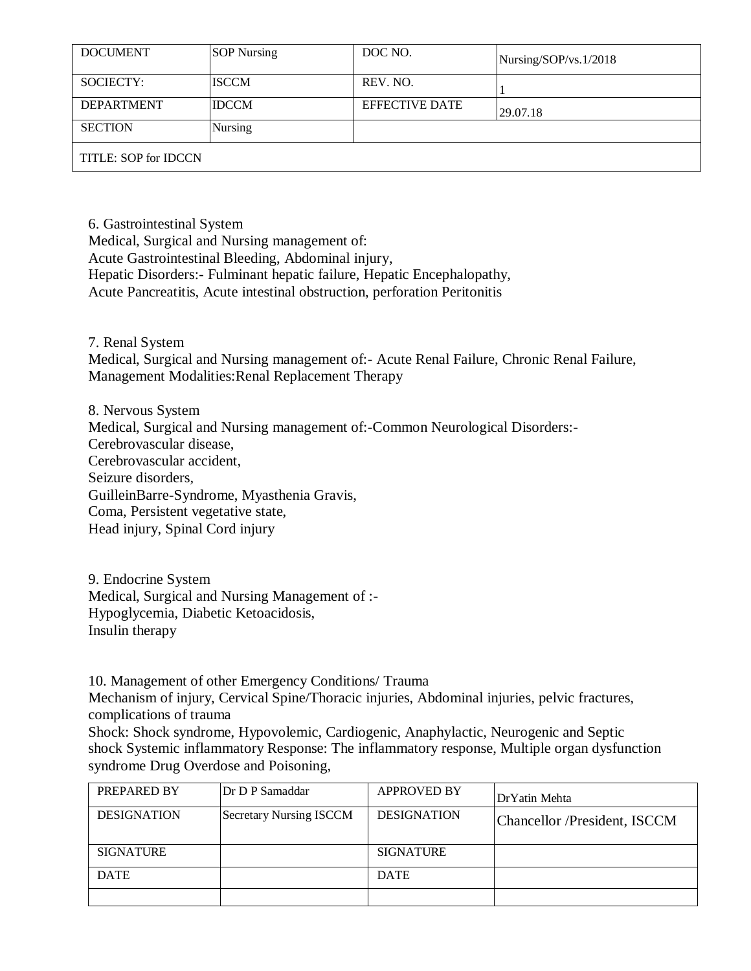| <b>DOCUMENT</b>      | <b>SOP</b> Nursing | DOC NO.               | Nursing/SOP/vs.1/2018 |  |
|----------------------|--------------------|-----------------------|-----------------------|--|
| SOCIECTY:            | <b>ISCCM</b>       | REV. NO.              |                       |  |
| <b>DEPARTMENT</b>    | <b>IDCCM</b>       | <b>EFFECTIVE DATE</b> | 29.07.18              |  |
| <b>SECTION</b>       | <b>Nursing</b>     |                       |                       |  |
| TITLE: SOP for IDCCN |                    |                       |                       |  |

6. Gastrointestinal System

Medical, Surgical and Nursing management of:

Acute Gastrointestinal Bleeding, Abdominal injury,

Hepatic Disorders:- Fulminant hepatic failure, Hepatic Encephalopathy,

Acute Pancreatitis, Acute intestinal obstruction, perforation Peritonitis

7. Renal System

Medical, Surgical and Nursing management of:- Acute Renal Failure, Chronic Renal Failure, Management Modalities:Renal Replacement Therapy

8. Nervous System Medical, Surgical and Nursing management of:-Common Neurological Disorders:- Cerebrovascular disease, Cerebrovascular accident, Seizure disorders, GuilleinBarre-Syndrome, Myasthenia Gravis, Coma, Persistent vegetative state, Head injury, Spinal Cord injury

9. Endocrine System Medical, Surgical and Nursing Management of :- Hypoglycemia, Diabetic Ketoacidosis, Insulin therapy

10. Management of other Emergency Conditions/ Trauma

Mechanism of injury, Cervical Spine/Thoracic injuries, Abdominal injuries, pelvic fractures, complications of trauma

Shock: Shock syndrome, Hypovolemic, Cardiogenic, Anaphylactic, Neurogenic and Septic shock Systemic inflammatory Response: The inflammatory response, Multiple organ dysfunction syndrome Drug Overdose and Poisoning,

| PREPARED BY        | Dr D P Samaddar                | <b>APPROVED BY</b> | Dr Yatin Mehta               |
|--------------------|--------------------------------|--------------------|------------------------------|
| <b>DESIGNATION</b> | <b>Secretary Nursing ISCCM</b> | <b>DESIGNATION</b> | Chancellor /President, ISCCM |
| <b>SIGNATURE</b>   |                                | <b>SIGNATURE</b>   |                              |
| <b>DATE</b>        |                                | <b>DATE</b>        |                              |
|                    |                                |                    |                              |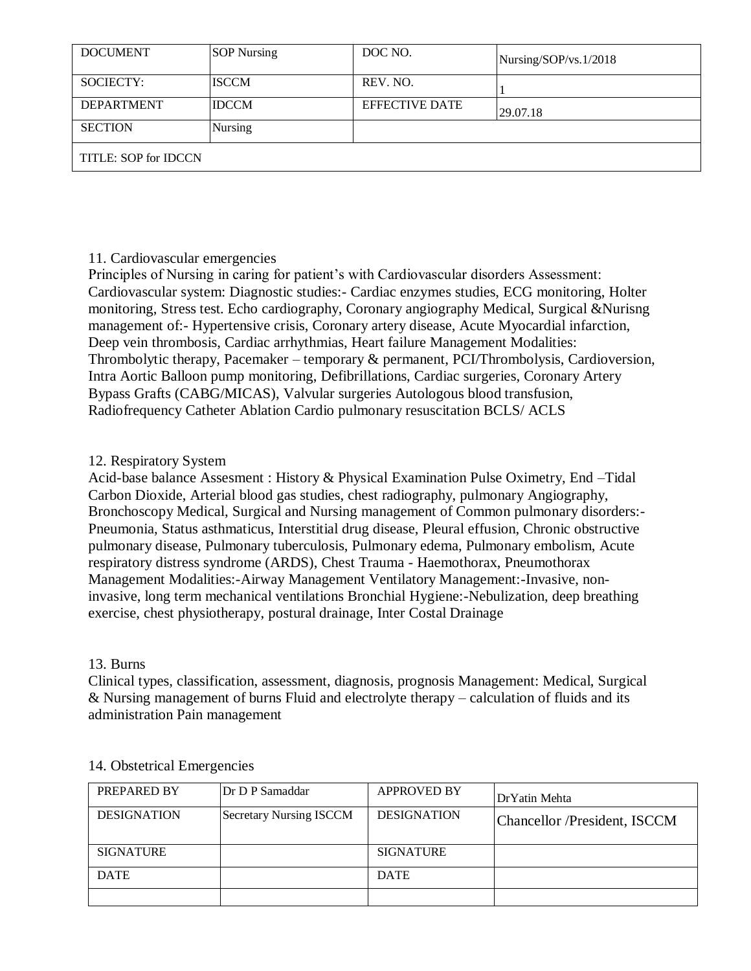| <b>DOCUMENT</b>      | <b>SOP Nursing</b> | DOC NO.               | Nursing/SOP/vs.1/2018 |  |
|----------------------|--------------------|-----------------------|-----------------------|--|
| SOCIECTY:            | <b>ISCCM</b>       | REV. NO.              |                       |  |
| <b>DEPARTMENT</b>    | <b>IDCCM</b>       | <b>EFFECTIVE DATE</b> | 29.07.18              |  |
| <b>SECTION</b>       | <b>Nursing</b>     |                       |                       |  |
| TITLE: SOP for IDCCN |                    |                       |                       |  |

#### 11. Cardiovascular emergencies

Principles of Nursing in caring for patient's with Cardiovascular disorders Assessment: Cardiovascular system: Diagnostic studies:- Cardiac enzymes studies, ECG monitoring, Holter monitoring, Stress test. Echo cardiography, Coronary angiography Medical, Surgical &Nurisng management of:- Hypertensive crisis, Coronary artery disease, Acute Myocardial infarction, Deep vein thrombosis, Cardiac arrhythmias, Heart failure Management Modalities: Thrombolytic therapy, Pacemaker – temporary & permanent, PCI/Thrombolysis, Cardioversion, Intra Aortic Balloon pump monitoring, Defibrillations, Cardiac surgeries, Coronary Artery Bypass Grafts (CABG/MICAS), Valvular surgeries Autologous blood transfusion, Radiofrequency Catheter Ablation Cardio pulmonary resuscitation BCLS/ ACLS

#### 12. Respiratory System

Acid-base balance Assesment : History & Physical Examination Pulse Oximetry, End –Tidal Carbon Dioxide, Arterial blood gas studies, chest radiography, pulmonary Angiography, Bronchoscopy Medical, Surgical and Nursing management of Common pulmonary disorders:- Pneumonia, Status asthmaticus, Interstitial drug disease, Pleural effusion, Chronic obstructive pulmonary disease, Pulmonary tuberculosis, Pulmonary edema, Pulmonary embolism, Acute respiratory distress syndrome (ARDS), Chest Trauma - Haemothorax, Pneumothorax Management Modalities:-Airway Management Ventilatory Management:-Invasive, noninvasive, long term mechanical ventilations Bronchial Hygiene:-Nebulization, deep breathing exercise, chest physiotherapy, postural drainage, Inter Costal Drainage

### 13. Burns

Clinical types, classification, assessment, diagnosis, prognosis Management: Medical, Surgical & Nursing management of burns Fluid and electrolyte therapy – calculation of fluids and its administration Pain management

| PREPARED BY        | Dr D P Samaddar                | <b>APPROVED BY</b> | DrYatin Mehta                |
|--------------------|--------------------------------|--------------------|------------------------------|
| <b>DESIGNATION</b> | <b>Secretary Nursing ISCCM</b> | <b>DESIGNATION</b> | Chancellor /President, ISCCM |
| <b>SIGNATURE</b>   |                                | <b>SIGNATURE</b>   |                              |
| <b>DATE</b>        |                                | <b>DATE</b>        |                              |
|                    |                                |                    |                              |

### 14. Obstetrical Emergencies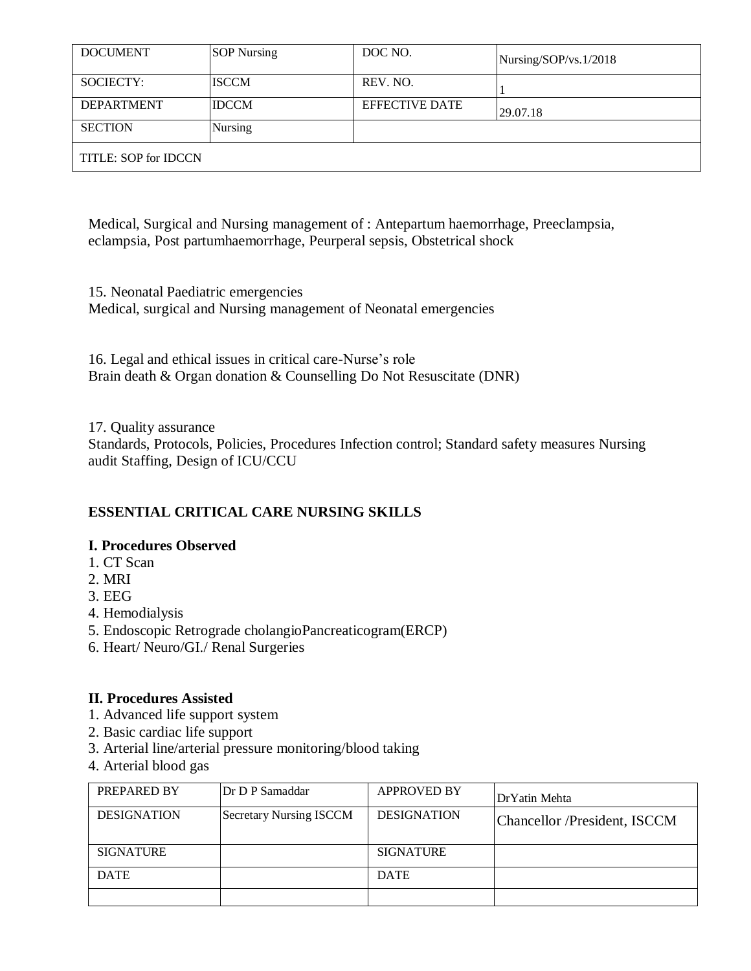| <b>DOCUMENT</b>      | <b>SOP</b> Nursing | DOC NO.               | Nursing/SOP/vs.1/2018 |  |
|----------------------|--------------------|-----------------------|-----------------------|--|
| SOCIECTY:            | <b>ISCCM</b>       | REV. NO.              |                       |  |
| <b>DEPARTMENT</b>    | <b>IDCCM</b>       | <b>EFFECTIVE DATE</b> | 29.07.18              |  |
| <b>SECTION</b>       | <b>Nursing</b>     |                       |                       |  |
| TITLE: SOP for IDCCN |                    |                       |                       |  |

Medical, Surgical and Nursing management of : Antepartum haemorrhage, Preeclampsia, eclampsia, Post partumhaemorrhage, Peurperal sepsis, Obstetrical shock

15. Neonatal Paediatric emergencies Medical, surgical and Nursing management of Neonatal emergencies

16. Legal and ethical issues in critical care-Nurse's role Brain death & Organ donation & Counselling Do Not Resuscitate (DNR)

17. Quality assurance

Standards, Protocols, Policies, Procedures Infection control; Standard safety measures Nursing audit Staffing, Design of ICU/CCU

## **ESSENTIAL CRITICAL CARE NURSING SKILLS**

### **I. Procedures Observed**

- 1. CT Scan
- 2. MRI
- 3. EEG
- 4. Hemodialysis
- 5. Endoscopic Retrograde cholangioPancreaticogram(ERCP)
- 6. Heart/ Neuro/GI./ Renal Surgeries

### **II. Procedures Assisted**

- 1. Advanced life support system
- 2. Basic cardiac life support
- 3. Arterial line/arterial pressure monitoring/blood taking
- 4. Arterial blood gas

| PREPARED BY        | Dr D P Samaddar                | <b>APPROVED BY</b> | Dr Yatin Mehta               |
|--------------------|--------------------------------|--------------------|------------------------------|
| <b>DESIGNATION</b> | <b>Secretary Nursing ISCCM</b> | <b>DESIGNATION</b> | Chancellor /President, ISCCM |
| <b>SIGNATURE</b>   |                                | <b>SIGNATURE</b>   |                              |
| <b>DATE</b>        |                                | <b>DATE</b>        |                              |
|                    |                                |                    |                              |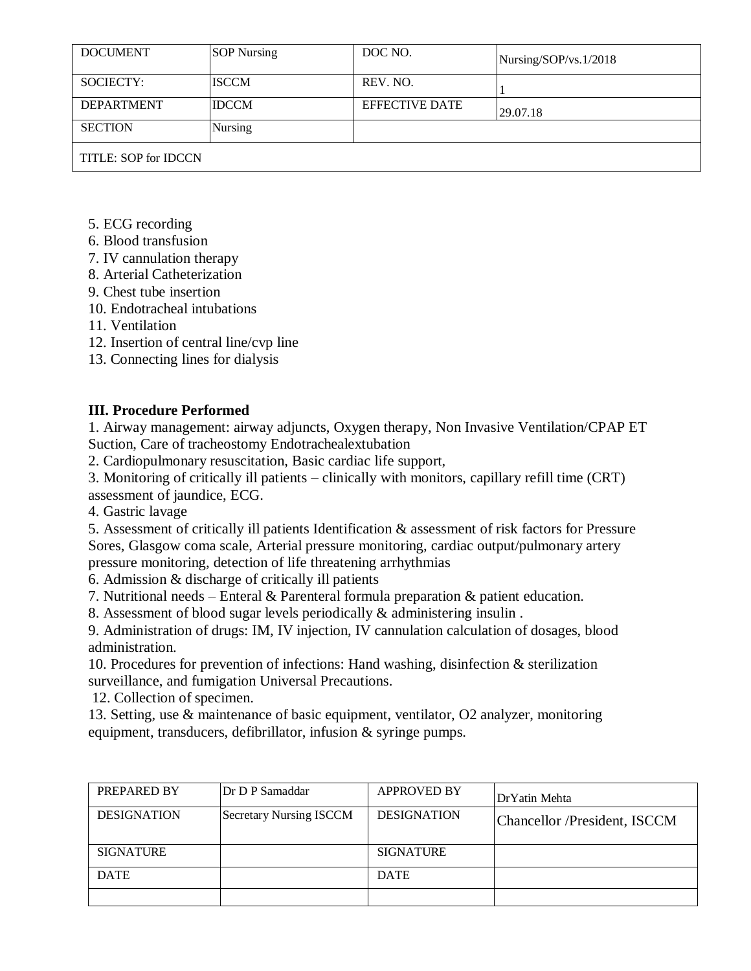| <b>DOCUMENT</b>      | <b>SOP Nursing</b> | DOC NO.               | Nursing/SOP/vs.1/2018 |
|----------------------|--------------------|-----------------------|-----------------------|
| SOCIECTY:            | <b>ISCCM</b>       | REV. NO.              |                       |
| <b>DEPARTMENT</b>    | <b>IDCCM</b>       | <b>EFFECTIVE DATE</b> | 29.07.18              |
| <b>SECTION</b>       | <b>Nursing</b>     |                       |                       |
| TITLE: SOP for IDCCN |                    |                       |                       |

- 5. ECG recording
- 6. Blood transfusion
- 7. IV cannulation therapy
- 8. Arterial Catheterization
- 9. Chest tube insertion
- 10. Endotracheal intubations
- 11. Ventilation
- 12. Insertion of central line/cvp line
- 13. Connecting lines for dialysis

## **III. Procedure Performed**

1. Airway management: airway adjuncts, Oxygen therapy, Non Invasive Ventilation/CPAP ET Suction, Care of tracheostomy Endotrachealextubation

2. Cardiopulmonary resuscitation, Basic cardiac life support,

3. Monitoring of critically ill patients – clinically with monitors, capillary refill time (CRT) assessment of jaundice, ECG.

4. Gastric lavage

5. Assessment of critically ill patients Identification & assessment of risk factors for Pressure Sores, Glasgow coma scale, Arterial pressure monitoring, cardiac output/pulmonary artery pressure monitoring, detection of life threatening arrhythmias

6. Admission & discharge of critically ill patients

7. Nutritional needs – Enteral & Parenteral formula preparation & patient education.

8. Assessment of blood sugar levels periodically & administering insulin .

9. Administration of drugs: IM, IV injection, IV cannulation calculation of dosages, blood administration.

10. Procedures for prevention of infections: Hand washing, disinfection & sterilization surveillance, and fumigation Universal Precautions.

12. Collection of specimen.

13. Setting, use & maintenance of basic equipment, ventilator, O2 analyzer, monitoring equipment, transducers, defibrillator, infusion & syringe pumps.

| PREPARED BY        | Dr D P Samaddar                | <b>APPROVED BY</b> | Dr Yatin Mehta               |
|--------------------|--------------------------------|--------------------|------------------------------|
| <b>DESIGNATION</b> | <b>Secretary Nursing ISCCM</b> | <b>DESIGNATION</b> | Chancellor /President, ISCCM |
| <b>SIGNATURE</b>   |                                | <b>SIGNATURE</b>   |                              |
| <b>DATE</b>        |                                | <b>DATE</b>        |                              |
|                    |                                |                    |                              |